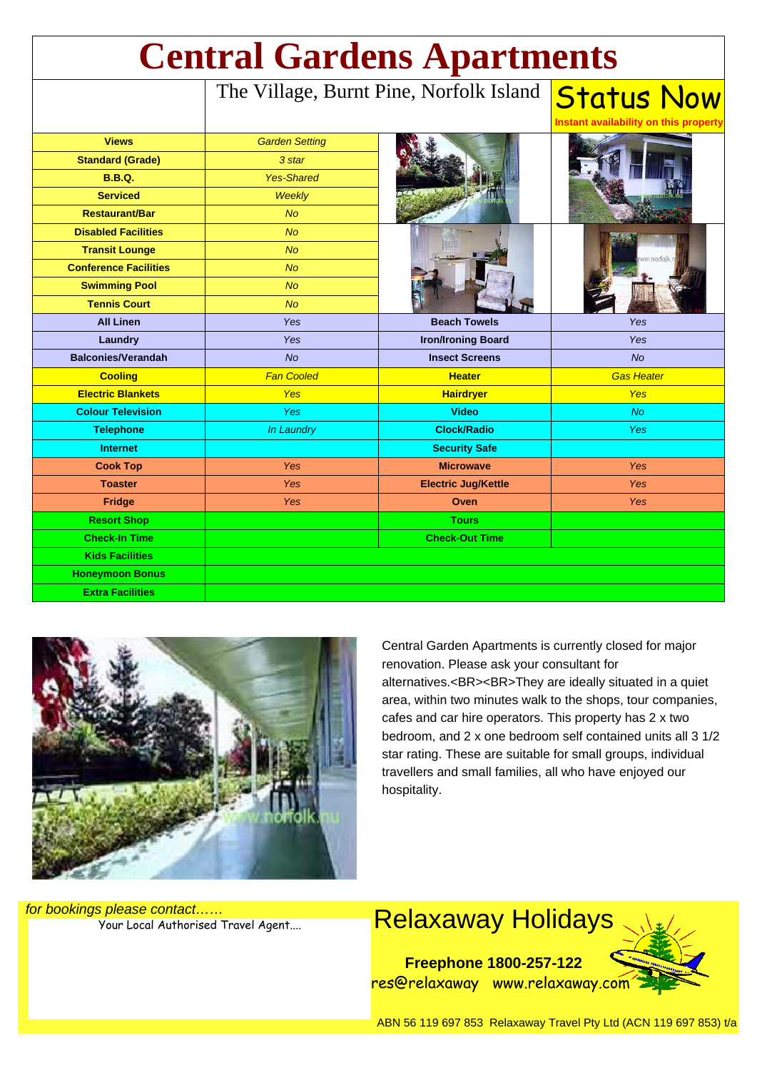| <b>Central Gardens Apartments</b> |                                         |                            |                                                            |
|-----------------------------------|-----------------------------------------|----------------------------|------------------------------------------------------------|
|                                   | The Village, Burnt Pine, Norfolk Island |                            | <b>Status Now</b><br>Instant availability on this property |
| <b>Views</b>                      | <b>Garden Setting</b>                   |                            |                                                            |
| <b>Standard (Grade)</b>           | 3 star                                  |                            |                                                            |
| <b>B.B.Q.</b>                     | <b>Yes-Shared</b>                       |                            |                                                            |
| <b>Serviced</b>                   | Weekly                                  |                            |                                                            |
| <b>Restaurant/Bar</b>             | <b>No</b>                               |                            |                                                            |
| <b>Disabled Facilities</b>        | <b>No</b>                               |                            |                                                            |
| <b>Transit Lounge</b>             | <b>No</b>                               |                            |                                                            |
| <b>Conference Facilities</b>      | <b>No</b>                               |                            |                                                            |
| <b>Swimming Pool</b>              | <b>No</b>                               |                            |                                                            |
| <b>Tennis Court</b>               | <b>No</b>                               |                            |                                                            |
| <b>All Linen</b>                  | <b>Yes</b>                              | <b>Beach Towels</b>        | <b>Yes</b>                                                 |
| Laundry                           | Yes                                     | <b>Iron/Ironing Board</b>  | Yes                                                        |
| <b>Balconies/Verandah</b>         | <b>No</b>                               | <b>Insect Screens</b>      | No                                                         |
| <b>Cooling</b>                    | <b>Fan Cooled</b>                       | <b>Heater</b>              | <b>Gas Heater</b>                                          |
| <b>Electric Blankets</b>          | <b>Yes</b>                              | <b>Hairdryer</b>           | <b>Yes</b>                                                 |
| <b>Colour Television</b>          | Yes                                     | <b>Video</b>               | <b>No</b>                                                  |
| <b>Telephone</b>                  | In Laundry                              | <b>Clock/Radio</b>         | <b>Yes</b>                                                 |
| <b>Internet</b>                   |                                         | <b>Security Safe</b>       |                                                            |
| <b>Cook Top</b>                   | Yes                                     | <b>Microwave</b>           | <b>Yes</b>                                                 |
| <b>Toaster</b>                    | Yes                                     | <b>Electric Jug/Kettle</b> | Yes                                                        |
| <b>Fridge</b>                     | Yes                                     | Oven                       | Yes                                                        |
| <b>Resort Shop</b>                |                                         | <b>Tours</b>               |                                                            |
| <b>Check-In Time</b>              |                                         | <b>Check-Out Time</b>      |                                                            |
| <b>Kids Facilities</b>            |                                         |                            |                                                            |
| <b>Honeymoon Bonus</b>            |                                         |                            |                                                            |
| <b>Extra Facilities</b>           |                                         |                            |                                                            |



Central Garden Apartments is currently closed for major renovation. Please ask your consultant for alternatives.<BR><BR>They are ideally situated in a quiet area, within two minutes walk to the shops, tour companies, cafes and car hire operators. This property has 2 x two bedroom, and 2 x one bedroom self contained units all 3 1/2 star rating. These are suitable for small groups, individual travellers and small families, all who have enjoyed our hospitality.

for bookings please contact……